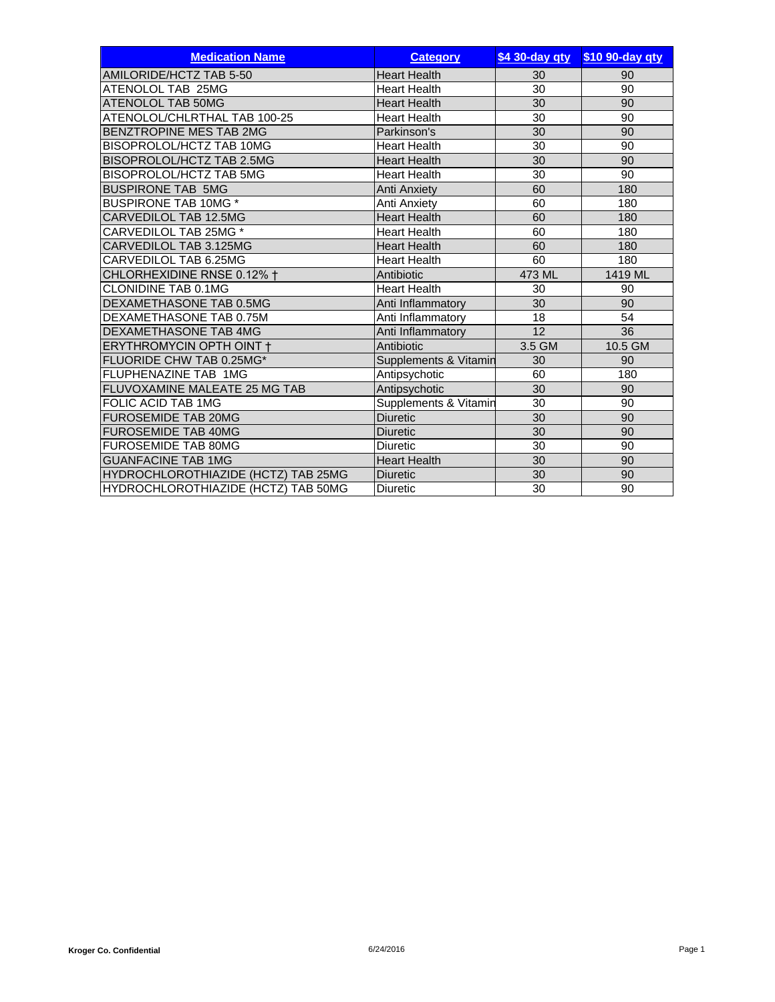| <b>Medication Name</b>                     | <b>Category</b>       | \$4 30-day qty  | \$10 90-day qty |
|--------------------------------------------|-----------------------|-----------------|-----------------|
| AMILORIDE/HCTZ TAB 5-50                    | <b>Heart Health</b>   | 30              | 90              |
| ATENOLOL TAB 25MG                          | <b>Heart Health</b>   | 30              | 90              |
| <b>ATENOLOL TAB 50MG</b>                   | <b>Heart Health</b>   | 30              | 90              |
| ATENOLOL/CHLRTHAL TAB 100-25               | <b>Heart Health</b>   | 30              | 90              |
| BENZTROPINE MES TAB 2MG                    | Parkinson's           | 30              | 90              |
| BISOPROLOL/HCTZ TAB 10MG                   | <b>Heart Health</b>   | 30              | 90              |
| BISOPROLOL/HCTZ TAB 2.5MG                  | <b>Heart Health</b>   | 30              | 90              |
| BISOPROLOL/HCTZ TAB 5MG                    | <b>Heart Health</b>   | 30              | 90              |
| <b>BUSPIRONE TAB 5MG</b>                   | <b>Anti Anxiety</b>   | 60              | 180             |
| <b>BUSPIRONE TAB 10MG *</b>                | Anti Anxiety          | 60              | 180             |
| CARVEDILOL TAB 12.5MG                      | <b>Heart Health</b>   | 60              | 180             |
| CARVEDILOL TAB 25MG *                      | <b>Heart Health</b>   | 60              | 180             |
| CARVEDILOL TAB 3.125MG                     | <b>Heart Health</b>   | 60              | 180             |
| CARVEDILOL TAB 6.25MG                      | <b>Heart Health</b>   | 60              | 180             |
| CHLORHEXIDINE RNSE 0.12% +                 | Antibiotic            | 473 ML          | 1419 ML         |
| <b>CLONIDINE TAB 0.1MG</b>                 | <b>Heart Health</b>   | 30              | 90              |
| DEXAMETHASONE TAB 0.5MG                    | Anti Inflammatory     | 30              | 90              |
| DEXAMETHASONE TAB 0.75M                    | Anti Inflammatory     | 18              | 54              |
| <b>DEXAMETHASONE TAB 4MG</b>               | Anti Inflammatory     | 12              | 36              |
| ERYTHROMYCIN OPTH OINT +                   | Antibiotic            | 3.5 GM          | 10.5 GM         |
| FLUORIDE CHW TAB 0.25MG*                   | Supplements & Vitamin | 30              | 90              |
| FLUPHENAZINE TAB 1MG                       | Antipsychotic         | 60              | 180             |
| FLUVOXAMINE MALEATE 25 MG TAB              | Antipsychotic         | $\overline{30}$ | 90              |
| FOLIC ACID TAB 1MG                         | Supplements & Vitamin | 30              | 90              |
| <b>FUROSEMIDE TAB 20MG</b>                 | <b>Diuretic</b>       | 30              | 90              |
| <b>FUROSEMIDE TAB 40MG</b>                 | <b>Diuretic</b>       | 30              | 90              |
| <b>FUROSEMIDE TAB 80MG</b>                 | <b>Diuretic</b>       | 30              | 90              |
| <b>GUANFACINE TAB 1MG</b>                  | <b>Heart Health</b>   | 30              | 90              |
| <b>HYDROCHLOROTHIAZIDE (HCTZ) TAB 25MG</b> | <b>Diuretic</b>       | 30              | 90              |
| HYDROCHLOROTHIAZIDE (HCTZ) TAB 50MG        | <b>Diuretic</b>       | 30              | 90              |